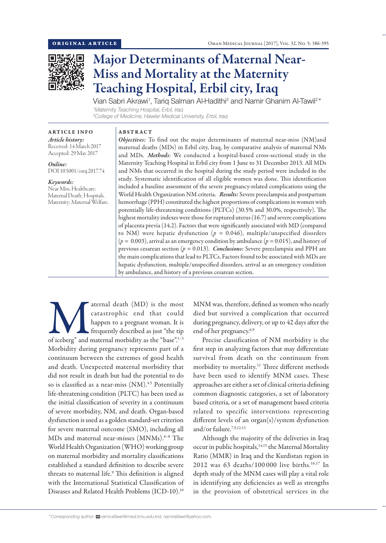

# Major Determinants of Maternal Near-Miss and Mortality at the Maternity Teaching Hospital, Erbil city, Iraq

Vian Sabri Akrawi<sup>1</sup>, Tariq Salman Al-Hadithi<sup>2</sup> and Namir Ghanim Al-Tawil<sup>2\*</sup> *1 Maternity Teaching Hospital, Erbil, Iraq 2 College of Medicine, Hawler Medical University, Erbil, Iraq*

## ARTICLE INFO

*Article history:* Received: 14 March 2017 Accepted: 29 May 2017

*Online:* DOI 10.5001/omj.2017.74

#### *Keywords:*

Near Miss, Healthcare; Maternal Death; Hospitals, Maternity; Maternal Welfare.

# ABSTRACT

*Objectives:* To find out the major determinants of maternal near-miss (NM)and maternal deaths (MDs) in Erbil city, Iraq, by comparative analysis of maternal NMs and MDs. *Methods*: We conducted a hospital-based cross-sectional study in the Maternity Teaching Hospital in Erbil city from 1 June to 31 December 2013. All MDs and NMs that occurred in the hospital during the study period were included in the study. Systematic identification of all eligible women was done. This identification included a baseline assessment of the severe pregnancy-related complications using the World Health Organization NM criteria. *Results:* Severe preeclampsia and postpartum hemorrhage (PPH) constituted the highest proportions of complications in women with potentially life-threatening conditions (PLTCs) (30.5% and 30.0%, respectively). The highest mortality indexes were those for ruptured uterus (16.7) and severe complications of placenta previa (14.2). Factors that were significantly associated with MD (compared to NM) were hepatic dysfunction ( $p = 0.046$ ), multiple/unspecified disorders (*p =* 0.003), arrival as an emergency condition by ambulance (*p =* 0.015), and history of previous cesarean section (*p =* 0.013). *Conclusions:* Severe preeclampsia and PPH are the main complications that lead to PLTCs. Factors found to be associated with MDs are hepatic dysfunction, multiple/unspecified disorders, arrival as an emergency condition by ambulance, and history of a previous cesarean section.

aternal death (MD) is the most<br>
catastrophic end that could<br>
happen to a pregnant woman. It is<br>
frequently described as just "the tip<br>
of iceberg" and maternal morbidity as the "base".<sup>1–3</sup> catastrophic end that could happen to a pregnant woman. It is frequently described as just "the tip Morbidity during pregnancy represents part of a continuum between the extremes of good health and death. Unexpected maternal morbidity that did not result in death but had the potential to do so is classified as a near-miss (NM).<sup>4,5</sup> Potentially life-threatening condition (PLTC) has been used as the initial classification of severity in a continuum of severe morbidity, NM, and death. Organ-based dysfunction is used as a golden standard-set criterion for severe maternal outcome (SMO), including all MDs and maternal near-misses (MNMs).<sup>6-8</sup> The World Health Organization (WHO) working group on maternal morbidity and mortality classifications established a standard definition to describe severe threats to maternal life.9 This definition is aligned with the International Statistical Classification of Diseases and Related Health Problems (ICD-10).10

MNM was, therefore, defined as women who nearly died but survived a complication that occurred during pregnancy, delivery, or up to 42 days after the end of her pregnancy.6,9

Precise classification of NM morbidity is the first step in analyzing factors that may differentiate survival from death on the continuum from morbidity to mortality.<sup>11</sup> Three different methods have been used to identify MNM cases. These approaches are either a set of clinical criteria defining common diagnostic categories, a set of laboratory based criteria, or a set of management based criteria related to specific interventions representing different levels of an organ(s)/system dysfunction and/or failure.7,9,12,13

Although the majority of the deliveries in Iraq occur in public hospitals,<sup>14,15</sup> the Maternal Mortality Ratio (MMR) in Iraq and the Kurdistan region in 2012 was 63 deaths/100 000 live births.16,17 In depth study of the MNM cases will play a vital role in identifying any deficiencies as well as strengths in the provision of obstetrical services in the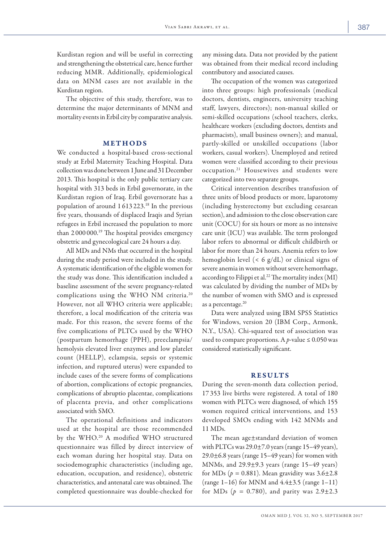Kurdistan region and will be useful in correcting and strengthening the obstetrical care, hence further reducing MMR. Additionally, epidemiological data on MNM cases are not available in the Kurdistan region.

The objective of this study, therefore, was to determine the major determinants of MNM and mortality events in Erbil city by comparative analysis.

# METHODS

We conducted a hospital-based cross-sectional study at Erbil Maternity Teaching Hospital. Data collection was done between 1 June and 31 December 2013. This hospital is the only public tertiary care hospital with 313 beds in Erbil governorate, in the Kurdistan region of Iraq. Erbil governorate has a population of around 1 613 223.18 In the previous five years, thousands of displaced Iraqis and Syrian refugees in Erbil increased the population to more than 2 000 000.19 The hospital provides emergency obstetric and gynecological care 24 hours a day.

All MDs and NMs that occurred in the hospital during the study period were included in the study. A systematic identification of the eligible women for the study was done. This identification included a baseline assessment of the severe pregnancy-related complications using the WHO NM criteria.<sup>20</sup> However, not all WHO criteria were applicable; therefore, a local modification of the criteria was made. For this reason, the severe forms of the five complications of PLTCs used by the WHO (postpartum hemorrhage (PPH), preeclampsia/ hemolysis elevated liver enzymes and low platelet count (HELLP), eclampsia, sepsis or systemic infection, and ruptured uterus) were expanded to include cases of the severe forms of complications of abortion, complications of ectopic pregnancies, complications of abruptio placentae, complications of placenta previa, and other complications associated with SMO.

The operational definitions and indicators used at the hospital are those recommended by the WHO.20 A modified WHO structured questionnaire was filled by direct interview of each woman during her hospital stay. Data on sociodemographic characteristics (including age, education, occupation, and residence), obstetric characteristics, and antenatal care was obtained. The completed questionnaire was double-checked for

any missing data. Data not provided by the patient was obtained from their medical record including contributory and associated causes.

The occupation of the women was categorized into three groups: high professionals (medical doctors, dentists, engineers, university teaching staff, lawyers, directors); non-manual skilled or semi-skilled occupations (school teachers, clerks, healthcare workers (excluding doctors, dentists and pharmacists), small business owners); and manual, partly-skilled or unskilled occupations (labor workers, casual workers). Unemployed and retired women were classified according to their previous occupation.21 Housewives and students were categorized into two separate groups.

Critical intervention describes transfusion of three units of blood products or more, laparotomy (including hysterectomy but excluding cesarean section), and admission to the close observation care unit (COCU) for six hours or more as no intensive care unit (ICU) was available. The term prolonged labor refers to abnormal or difficult childbirth or labor for more than 24 hours. Anemia refers to low hemoglobin level  $(< 6$  g/dL) or clinical signs of severe anemia in women without severe hemorrhage, according to Filippi et al.<sup>22</sup> The mortality index (MI) was calculated by dividing the number of MDs by the number of women with SMO and is expressed as a percentage.<sup>20</sup>

Data were analyzed using IBM SPSS Statistics for Windows, version 20 (IBM Corp., Armonk, N.Y., USA). Chi-squared test of association was used to compare proportions. A *p*-value  $\leq 0.050$  was considered statistically significant.

## RESULTS

During the seven-month data collection period, 17 353 live births were registered. A total of 180 women with PLTCs were diagnosed, of which 155 women required critical interventions, and 153 developed SMOs ending with 142 MNMs and 11 MDs.

The mean age±standard deviation of women with PLTCs was  $29.0\pm7.0$  years (range 15–49 years),  $29.0\pm6.8$  years (range 15–49 years) for women with MNMs, and  $29.9\pm9.3$  years (range  $15-49$  years) for MDs ( $p = 0.881$ ). Mean gravidity was  $3.6 \pm 2.8$  $(range 1-16)$  for MNM and  $4.4\pm3.5$  (range 1-11) for MDs ( $p = 0.780$ ), and parity was  $2.9 \pm 2.3$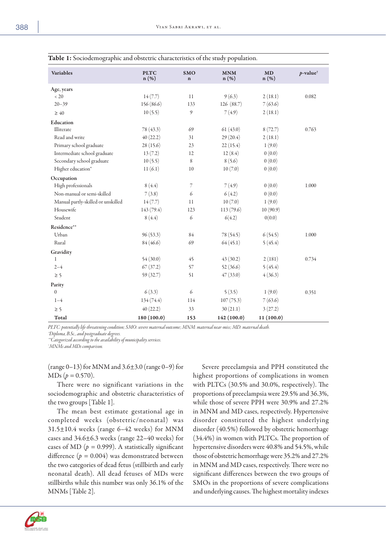| <b>Variables</b>                   | <b>PLTC</b><br>n (%) | <b>SMO</b><br>$\bf n$      | <b>MNM</b><br>n (%) | MD<br>n (%) | $p$ -value <sup>†</sup> |
|------------------------------------|----------------------|----------------------------|---------------------|-------------|-------------------------|
| Age, years                         |                      |                            |                     |             |                         |
| < 20                               | 14(7.7)              | 11                         | 9(6.3)              | 2(18.1)     | 0.082                   |
| $20 - 39$                          | 156 (86.6)           | 133                        | 126 (88.7)          | 7(63.6)     |                         |
| $\geq 40$                          | 10(5.5)              | $\boldsymbol{\mathcal{Y}}$ | 7(4.9)              | 2(18.1)     |                         |
| Education                          |                      |                            |                     |             |                         |
| Illiterate                         | 78 (43.3)            | 69                         | 61(43.0)            | 8(72.7)     | 0.763                   |
| Read and write                     | 40(22.2)             | 31                         | 29(20.4)            | 2(18.1)     |                         |
| Primary school graduate            | 28(15.6)             | 23                         | 22(15.4)            | 1(9.0)      |                         |
| Intermediate school graduate       | 13(7.2)              | 12                         | 12(8.4)             | 0(0.0)      |                         |
| Secondary school graduate          | 10(5.5)              | 8                          | 8(5.6)              | 0(0.0)      |                         |
| Higher education*                  | 11(6.1)              | 10                         | 10(7.0)             | 0(0.0)      |                         |
| Occupation                         |                      |                            |                     |             |                         |
| High professionals                 | 8(4.4)               | 7                          | 7(4.9)              | 0(0.0)      | 1.000                   |
| Non-manual or semi-skilled         | 7(3.8)               | 6                          | 6(4.2)              | 0(0.0)      |                         |
| Manual partly-skilled or unskilled | 14(7.7)              | 11                         | 10(7.0)             | 1(9.0)      |                         |
| Housewife                          | 143 (79.4)           | 123                        | 113(79.6)           | 10(90.9)    |                         |
| Student                            | 8(4.4)               | 6                          | 6(4.2)              | 0(0.0)      |                         |
| Residence**                        |                      |                            |                     |             |                         |
| Urban                              | 96(53.3)             | 84                         | 78 (54.5)           | 6(54.5)     | 1.000                   |
| Rural                              | 84(46.6)             | 69                         | 64(45.1)            | 5(45.4)     |                         |
| Gravidity                          |                      |                            |                     |             |                         |
| 1                                  | 54(30.0)             | 45                         | 43(30.2)            | 2(181)      | 0.734                   |
| $2 - 4$                            | 67(37.2)             | 57                         | 52(36.6)            | 5(45.4)     |                         |
| $\geq 5$                           | 59(32.7)             | 51                         | 47(33.0)            | 4(36.3)     |                         |
| Parity                             |                      |                            |                     |             |                         |
| $\boldsymbol{0}$                   | 6(3.3)               | $\epsilon$                 | 5(3.5)              | 1(9.0)      | 0.351                   |
| $1 - 4$                            | 134 (74.4)           | 114                        | 107(75.3)           | 7(63.6)     |                         |
| $\geq$ 5                           | 40(22.2)             | 33                         | 30(21.1)            | 3(27.2)     |                         |
| Total                              | 180 (100.0)          | 153                        | 142 (100.0)         | 11 (100.0)  |                         |

| Table 1: Sociodemographic and obstetric characteristics of the study population. |  |  |
|----------------------------------------------------------------------------------|--|--|
|----------------------------------------------------------------------------------|--|--|

*PLTC: potentially life-threatening condition; SMO: severe maternal outcome; MNM: maternal near-miss; MD: maternal death.* 

*\*Diploma, B.Sc., and postgraduate degrees.*

*\*\*Categorized according to the availability of municipality services.*

*† MNMs and MDs comparison.*

(range  $0-13$ ) for MNM and  $3.6\pm3.0$  (range  $0-9$ ) for  $MDs (p = 0.570).$ 

There were no significant variations in the sociodemographic and obstetric characteristics of the two groups [Table 1].

The mean best estimate gestational age in completed weeks (obstetric/neonatal) was 31.5±10.4 weeks (range 6–42 weeks) for MNM cases and 34.6±6.3 weeks (range 22–40 weeks) for cases of MD ( $p = 0.999$ ). A statistically significant difference  $(p = 0.004)$  was demonstrated between the two categories of dead fetus (stillbirth and early neonatal death). All dead fetuses of MDs were stillbirths while this number was only 36.1% of the MNMs [Table 2].

Severe preeclampsia and PPH constituted the highest proportions of complications in women with PLTCs (30.5% and 30.0%, respectively). The proportions of preeclampsia were 29.5% and 36.3%, while those of severe PPH were 30.9% and 27.2% in MNM and MD cases, respectively. Hypertensive disorder constituted the highest underlying disorder (40.5%) followed by obstetric hemorrhage (34.4%) in women with PLTCs. The proportion of hypertensive disorders were 40.8% and 54.5%, while those of obstetric hemorrhage were 35.2% and 27.2% in MNM and MD cases, respectively. There were no significant differences between the two groups of SMOs in the proportions of severe complications and underlying causes. The highest mortality indexes



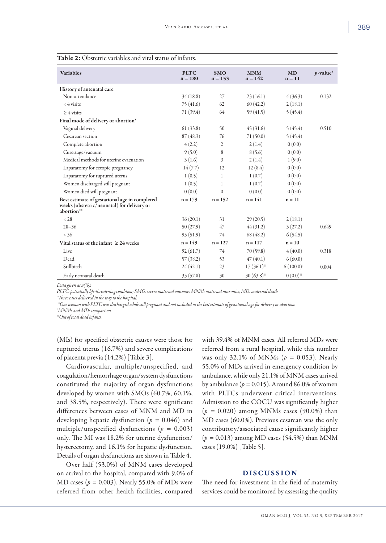| <b>Variables</b>                                                                                          | <b>PLTC</b><br>$n = 180$ | <b>SMO</b><br>$n = 153$ | <b>MNM</b><br>$n = 142$                     | <b>MD</b><br>$n = 11$                       | $p$ -value <sup>†</sup> |
|-----------------------------------------------------------------------------------------------------------|--------------------------|-------------------------|---------------------------------------------|---------------------------------------------|-------------------------|
| History of antenatal care                                                                                 |                          |                         |                                             |                                             |                         |
| Non-attendance                                                                                            | 34(18.8)                 | 27                      | 23(16.1)                                    | 4(36.3)                                     | 0.132                   |
| $<$ 4 visits                                                                                              | 75(41.6)                 | 62                      | 60(42.2)                                    | 2(18.1)                                     |                         |
| $\geq 4$ visits                                                                                           | 71(39.4)                 | 64                      | 59(41.5)                                    | 5(45.4)                                     |                         |
| Final mode of delivery or abortion*                                                                       |                          |                         |                                             |                                             |                         |
| Vaginal delivery                                                                                          | 61(33.8)                 | 50                      | 45(31.6)                                    | 5(45.4)                                     | 0.510                   |
| Cesarean section                                                                                          | 87(48.3)                 | 76                      | 71(50.0)                                    | 5(45.4)                                     |                         |
| Complete abortion                                                                                         | 4(2.2)                   | 2                       | 2(1.4)                                      | 0(0.0)                                      |                         |
| Curettage/vacuum                                                                                          | 9(5.0)                   | 8                       | 8(5.6)                                      | 0(0.0)                                      |                         |
| Medical methods for uterine evacuation                                                                    | 3(1.6)                   | 3                       | 2(1.4)                                      | 1(9.0)                                      |                         |
| Laparatomy for ectopic pregnancy                                                                          | 14(7.7)                  | 12                      | 12(8.4)                                     | 0(0.0)                                      |                         |
| Laparatomy for ruptured uterus                                                                            | 1(0.5)                   | 1                       | 1(0.7)                                      | 0(0.0)                                      |                         |
| Women discharged still pregnant                                                                           | 1(0.5)                   | 1                       | 1(0.7)                                      | 0(0.0)                                      |                         |
| Women died still pregnant                                                                                 | 0(0.0)                   | $\mathbf{0}$            | 0(0.0)                                      | 0(0.0)                                      |                         |
| Best estimate of gestational age in completed<br>weeks (obstetric/neonatal) for delivery or<br>abortion** | $n = 179$                | $n = 152$               | $n = 141$                                   | $n = 11$                                    |                         |
| < 28                                                                                                      | 36(20.1)                 | 31                      | 29(20.5)                                    | 2(18.1)                                     |                         |
| $28 - 36$                                                                                                 | 50(27.9)                 | 47                      | 44(31.2)                                    | 3(27.2)                                     | 0.649                   |
| $> 36$                                                                                                    | 93(51.9)                 | 74                      | 68(48.2)                                    | 6(54.5)                                     |                         |
| Vital status of the infant $\geq 24$ weeks                                                                | $n = 149$                | $n = 127$               | $n = 117$                                   | $n = 10$                                    |                         |
| Live                                                                                                      | 92(61.7)                 | 74                      | 70(59.8)                                    | 4(40.0)                                     | 0.318                   |
| Dead                                                                                                      | 57(38.2)                 | 53                      | 47(40.1)                                    | 6(60.0)                                     |                         |
| Stillbirth                                                                                                | 24(42.1)                 | 23                      | $17(36.1)$ <sup><math>\text{†}</math></sup> | $6(100.0)$ <sup><math>\text{†}</math></sup> | 0.004                   |
| Early neonatal death                                                                                      | 33(57.8)                 | 30                      | $30(63.8)$ <sup>††</sup>                    | $0(0.0)$ <sup><math>\dagger</math></sup>    |                         |

## Table 2: Obstetric variables and vital status of infants.

*Data given as n(%).* 

*PLTC: potentially life-threatening condition; SMO: severe maternal outcome; MNM: maternal near-miss; MD: maternal death.* 

*\*Three cases delivered in the way to the hospital.*

*\*\*One woman with PLTC was discharged while still pregnant and not included in the best estimate of gestational age for delivery or abortion.*

*† MNMs and MDs comparison.*

*††Out of total dead infants.*

(MIs) for specified obstetric causes were those for ruptured uterus (16.7%) and severe complications of placenta previa (14.2%) [Table 3].

Cardiovascular, multiple/unspecified, and coagulation/hemorrhage organ/system dysfunctions constituted the majority of organ dysfunctions developed by women with SMOs (60.7%, 60.1%, and 38.5%, respectively). There were significant differences between cases of MNM and MD in developing hepatic dysfunction (*p =* 0.046) and multiple/unspecified dysfunctions (*p =* 0.003) only. The MI was 18.2% for uterine dysfunction/ hysterectomy, and 16.1% for hepatic dysfunction. Details of organ dysfunctions are shown in Table 4.

Over half (53.0%) of MNM cases developed on arrival to the hospital, compared with 9.0% of MD cases (*p =* 0.003). Nearly 55.0% of MDs were referred from other health facilities, compared

with 39.4% of MNM cases. All referred MDs were referred from a rural hospital, while this number was only 32.1% of MNMs (*p =* 0.053). Nearly 55.0% of MDs arrived in emergency condition by ambulance, while only 21.1% of MNM cases arrived by ambulance ( $p = 0.015$ ). Around 86.0% of women with PLTCs underwent critical interventions. Admission to the COCU was significantly higher (*p =* 0.020) among MNMs cases (90.0%) than MD cases (60.0%). Previous cesarean was the only contributory/associated cause significantly higher (*p =* 0.013) among MD cases (54.5%) than MNM cases (19.0%) [Table 5].

# DISCUSSION

The need for investment in the field of maternity services could be monitored by assessing the quality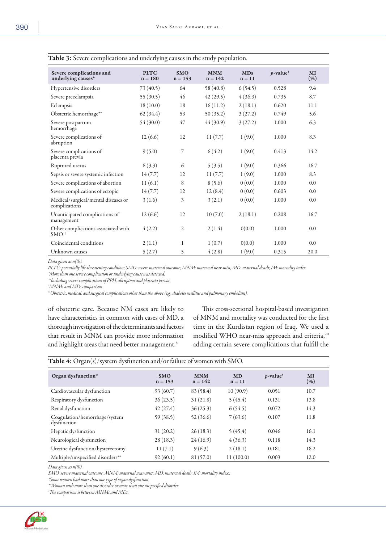| MI<br>(% ) |
|------------|
| 9.4        |
| 8.7        |
| 11.1       |
| 5.6        |
| 6.3        |
| 8.3        |
| 14.2       |
| 16.7       |
| 8.3        |
| 0.0        |
| 0.0        |
| 0.0        |
| 16.7       |
| 0.0        |
| 0.0        |
| 20.0       |
|            |

# Table 3: Severe complications and underlying causes in the study population.

*Data given as n(%).*

*PLTC: potentially life-threatening condition; SMO: severe maternal outcome; MNM: maternal near-miss; MD: maternal death; IM: mortality index.* 

*\*More than one severe complication or underlying cause was detected.*

*\*\*Including severe complications of PPH, abruption and placenta previa.*

*† MNMs and MDs comparison.*

*††Obstetric, medical, and surgical complications other than the above (e.g., diabetes mellitus and pulmonary embolism).*

of obstetric care. Because NM cases are likely to have characteristics in common with cases of MD, a thorough investigation of the determinants and factors that result in MNM can provide more information and highlight areas that need better management.<sup>8</sup>

This cross-sectional hospital-based investigation of MNM and mortality was conducted for the first time in the Kurdistan region of Iraq. We used a modified WHO near-miss approach and criteria,<sup>20</sup> adding certain severe complications that fulfill the

| Organ dysfunction*                           | <b>SMO</b><br>$n = 153$ | <b>MNM</b><br>$n = 142$ | <b>MD</b><br>$n = 11$ | $p$ -value <sup>†</sup> | MI<br>$(\% )$ |
|----------------------------------------------|-------------------------|-------------------------|-----------------------|-------------------------|---------------|
| Cardiovascular dysfunction                   | 93(60.7)                | 83 (58.4)               | 10(90.9)              | 0.051                   | 10.7          |
| Respiratory dysfunction                      | 36(23.5)                | 31(21.8)                | 5(45.4)               | 0.131                   | 13.8          |
| Renal dysfunction                            | 42(27.4)                | 36(25.3)                | 6(54.5)               | 0.072                   | 14.3          |
| Coagulation/hemorrhage/system<br>dysfunction | 59(38.5)                | 52(36.6)                | 7(63.6)               | 0.107                   | 11.8          |
| Hepatic dysfunction                          | 31(20.2)                | 26(18.3)                | 5(45.4)               | 0.046                   | 16.1          |
| Neurological dysfunction                     | 28(18.3)                | 24(16.9)                | 4(36.3)               | 0.118                   | 14.3          |
| Uterine dysfunction/hysterectomy             | 11(7.1)                 | 9(6.3)                  | 2(18.1)               | 0.181                   | 18.2          |
| Multiple/unspecified disorders**             | 92(60.1)                | 81(57.0)                | 11(100.0)             | 0.003                   | 12.0          |

| <b>Table 4:</b> $\text{Organ}(s)/\text{system}$ dysfunction and/or failure of women with SMO. |  |  |  |  |  |  |  |  |  |  |
|-----------------------------------------------------------------------------------------------|--|--|--|--|--|--|--|--|--|--|
|-----------------------------------------------------------------------------------------------|--|--|--|--|--|--|--|--|--|--|

*Data given as n(%).*

*SMO: severe maternal outcome; MNM: maternal near-miss; MD: maternal death; IM: mortality index..* 

*\*Some women had more than one type of organ dysfunction.*

*\*\*Woman with more than one disorder or more than one unspecified disorder.*

*† The comparison is between MNMs and MDs.*

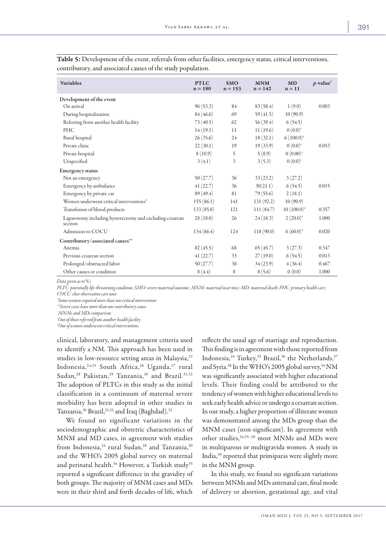| <b>Variables</b>                                                    | <b>PTLC</b><br>$n = 180$ | <b>SMO</b><br>$n = 153$ | <b>MNM</b><br>$n = 142$ | <b>MD</b><br>$n = 11$ | $p$ -value <sup>†</sup> |
|---------------------------------------------------------------------|--------------------------|-------------------------|-------------------------|-----------------------|-------------------------|
| Development of the event                                            |                          |                         |                         |                       |                         |
| On arrival                                                          | 96(53.3)                 | 84                      | 83(58.4)                | 1(9.0)                | 0.003                   |
| During hospitalization                                              | 84(46.6)                 | 69                      | 59(41.5)                | 10(90.9)              |                         |
| Referring from another health facility                              | 73(40.5)                 | 62                      | 56(39.4)                | 6(54.5)               |                         |
| PHC                                                                 | 14(19.1)                 | 11                      | 11(19.6)                | $0(0.0)^*$            |                         |
| Rural hospital                                                      | 26(35.6)                 | 24                      | 18(32.1)                | $6(100.0)^{*}$        |                         |
| Private clinic                                                      | 22(30.1)                 | 19                      | 19(33.9)                | $0(0.0)^*$            | 0.053                   |
| Private hospital                                                    | 8(10.9)                  | 5                       | 5(8.9)                  | $0(0.00)^*$           |                         |
| Unspecified                                                         | 3(4.1)                   | 3                       | 3(5.3)                  | $0(0.0)^*$            |                         |
| <b>Emergency status</b>                                             |                          |                         |                         |                       |                         |
| Not an emergency                                                    | 50(27.7)                 | 36                      | 33(23.2)                | 3(27.2)               |                         |
| Emergency by ambulance                                              | 41(22.7)                 | 36                      | 30(21.1)                | 6(54.5)               | 0.015                   |
| Emergency by private car                                            | 89(49.4)                 | 81                      | 79(55.6)                | 2(18.1)               |                         |
| Women underwent critical interventions*                             | 155(86.1)                | 141                     | 131(92.2)               | 10(90.9)              |                         |
| Transfusion of blood products                                       | 133(85.8)                | 121                     | 111(84.7)               | $10(100.0)^*$         | 0.357                   |
| Laparotomy including hysterectomy and excluding cesarean<br>section | 28(18.0)                 | 26                      | 24(18.3)                | $2(20.0)^*$           | 1.000                   |
| Admission to COCU                                                   | 134 (86.4)               | 124                     | 118(90.0)               | $6(60.0)^{*}$         | 0.020                   |
| Contributory/associated causes**                                    |                          |                         |                         |                       |                         |
| Anemia                                                              | 82(45.5)                 | 68                      | 65(45.7)                | 3(27.3)               | 0.347                   |
| Previous cesarean section                                           | 41(22.7)                 | 33                      | 27(19.0)                | 6(54.5)               | 0.013                   |
| Prolonged/obstructed labor                                          | 50(27.7)                 | 38                      | 34(23.9)                | 4(36.4)               | 0.467                   |
| Other causes or condition                                           | 8(4.4)                   | 8                       | 8(5.6)                  | 0(0.0)                | 1.000                   |

Table 5: Development of the event, referrals from other facilities, emergency status, critical interventions, contributory, and associated causes of the study population.

*Data given as n(%).*

*PLTC: potentially life-threatening condition; SMO: severe maternal outcome; MNM: maternal near miss; MD: maternal death; PHC: primary health care; COCU: close observation care unit.* 

*\*Some women required more than one critical intervention.*

*\*\*Severe cases have more than one contributory cause.*

*† MNMs and MDs comparison.*

*‡ Out of those referred from another health facility*

*# Out of women underwent critical interventions.*

clinical, laboratory, and management criteria used to identify a NM. This approach has been used in studies in low-resource setting areas in Malaysia,<sup>23</sup> Indonesia, 24,25 South Africa, 26 Uganda, 27 rural Sudan,<sup>28</sup> Pakistan,<sup>29</sup> Tanzania,<sup>30</sup> and Brazil.<sup>31,32</sup> The adoption of PLTCs in this study as the initial classification in a continuum of maternal severe morbidity has been adopted in other studies in Tanzania,30 Brazil,31,32 and Iraq (Baghdad).33

We found no significant variations in the sociodemographic and obstetric characteristics of MNM and MD cases, in agreement with studies from Indonesia,<sup>24</sup> rural Sudan,<sup>28</sup> and Tanzania,<sup>30</sup> and the WHO's 2005 global survey on maternal and perinatal health.<sup>34</sup> However, a Turkish study<sup>35</sup> reported a significant difference in the gravidity of both groups. The majority of MNM cases and MDs were in their third and forth decades of life, which

reflects the usual age of marriage and reproduction. This finding is in agreement with those reported from Indonesia,<sup>24</sup> Turkey,<sup>35</sup> Brazil,<sup>36</sup> the Netherlands,<sup>37</sup> and Syria.<sup>38</sup> In the WHO's 2005 global survey,<sup>34</sup> NM was significantly associated with higher educational levels. Their finding could be attributed to the tendency of women with higher educational levels to seek early health advice or undergo a cesarean section. In our study, a higher proportion of illiterate women was demonstrated among the MDs group than the MNM cases (non-significant). In agreement with other studies,<sup>24,35-38</sup> most MNMs and MDs were in multiparous or multigravida women. A study in India,39 reported that primiparas were slightly more in the MNM group.

In this study, we found no significant variations between MNMs and MDs antenatal care, final mode of delivery or abortion, gestational age, and vital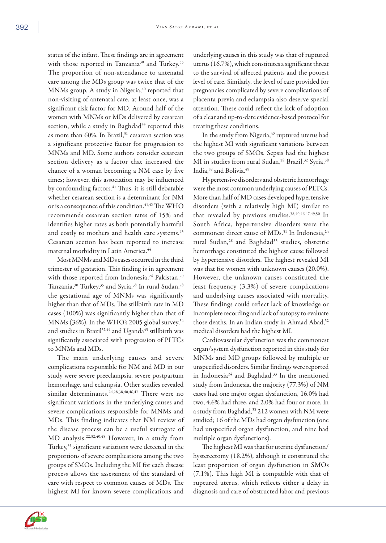status of the infant. These findings are in agreement with those reported in Tanzania<sup>30</sup> and Turkey.<sup>35</sup> The proportion of non-attendance to antenatal care among the MDs group was twice that of the MNMs group. A study in Nigeria,<sup>40</sup> reported that non-visiting of antenatal care, at least once, was a significant risk factor for MD. Around half of the women with MNMs or MDs delivered by cesarean section, while a study in Baghdad<sup>33</sup> reported this as more than 60%. In Brazil,<sup>31</sup> cesarean section was a significant protective factor for progression to MNMs and MD. Some authors consider cesarean section delivery as a factor that increased the chance of a woman becoming a NM case by five times; however, this association may be influenced by confounding factors.<sup>41</sup> Thus, it is still debatable whether cesarean section is a determinant for NM or is a consequence of this condition.<sup>41,42</sup> The WHO recommends cesarean section rates of 15% and identifies higher rates as both potentially harmful and costly to mothers and health care systems.<sup>43</sup> Cesarean section has been reported to increase maternal morbidity in Latin America.<sup>44</sup>

Most MNMs and MDs cases occurred in the third trimester of gestation. This finding is in agreement with those reported from Indonesia,<sup>24</sup> Pakistan,<sup>29</sup> Tanzania,<sup>30</sup> Turkey,<sup>35</sup> and Syria.<sup>38</sup> In rural Sudan,<sup>28</sup> the gestational age of MNMs was significantly higher than that of MDs. The stillbirth rate in MD cases (100%) was significantly higher than that of MNMs (36%). In the WHO's 2005 global survey,<sup>34</sup> and studies in Brazil<sup>32,44</sup> and Uganda<sup>45</sup> stillbirth was significantly associated with progression of PLTCs to MNMs and MDs.

The main underlying causes and severe complications responsible for NM and MD in our study were severe preeclampsia, severe postpartum hemorrhage, and eclampsia. Other studies revealed similar determinants.24,28,38,40,46,47 There were no significant variations in the underlying causes and severe complications responsible for MNMs and MDs. This finding indicates that NM review of the disease process can be a useful surrogate of MD analysis.22,32,40,48 However, in a study from Turkey,35 significant variations were detected in the proportions of severe complications among the two groups of SMOs. Including the MI for each disease process allows the assessment of the standard of care with respect to common causes of MDs. The highest MI for known severe complications and

underlying causes in this study was that of ruptured uterus (16.7%), which constitutes a significant threat to the survival of affected patients and the poorest level of care. Similarly, the level of care provided for pregnancies complicated by severe complications of placenta previa and eclampsia also deserve special attention. These could reflect the lack of adoption of a clear and up-to-date evidence-based protocol for treating these conditions.

In the study from Nigeria,<sup>40</sup> ruptured uterus had the highest MI with significant variations between the two groups of SMOs. Sepsis had the highest MI in studies from rural Sudan,<sup>28</sup> Brazil,<sup>32</sup> Syria,<sup>38</sup> India,<sup>39</sup> and Bolivia.<sup>49</sup>

Hypertensive disorders and obstetric hemorrhage were the most common underlying causes of PLTCs. More than half of MD cases developed hypertensive disorders (with a relatively high MI) similar to that revealed by previous studies.<sup>38,40,46,47,49,50</sup> In South Africa, hypertensive disorders were the commonest direct cause of MDs.<sup>51</sup> In Indonesia,<sup>24</sup> rural Sudan,<sup>28</sup> and Baghdad<sup>33</sup> studies, obstetric hemorrhage constituted the highest cause followed by hypertensive disorders. The highest revealed MI was that for women with unknown causes (20.0%). However, the unknown causes constituted the least frequency (3.3%) of severe complications and underlying causes associated with mortality. These findings could reflect lack of knowledge or incomplete recording and lack of autopsy to evaluate those deaths. In an Indian study in Ahmad Abad,<sup>52</sup> medical disorders had the highest MI.

Cardiovascular dysfunction was the commonest organ/system dysfunction reported in this study for MNMs and MD groups followed by multiple or unspecified disorders. Similar findings were reported in Indonesia<sup>24</sup> and Baghdad.<sup>33</sup> In the mentioned study from Indonesia, the majority (77.3%) of NM cases had one major organ dysfunction, 16.0% had two, 4.6% had three, and 2.0% had four or more. In a study from Baghdad,<sup>33</sup> 212 women with NM were studied; 16 of the MDs had organ dysfunction (one had unspecified organ dysfunction, and nine had multiple organ dysfunctions).

The highest MI was that for uterine dysfunction/ hysterectomy (18.2%), although it constituted the least proportion of organ dysfunction in SMOs (7.1%). This high MI is compatible with that of ruptured uterus, which reflects either a delay in diagnosis and care of obstructed labor and previous

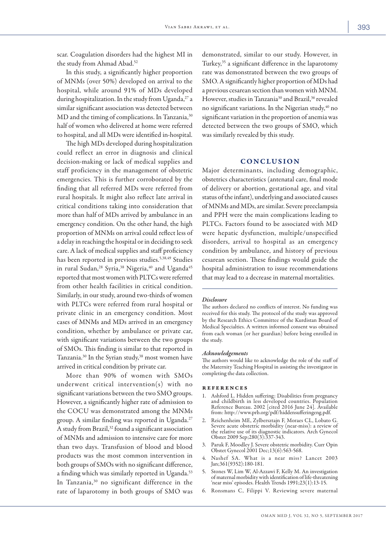scar. Coagulation disorders had the highest MI in the study from Ahmad Abad.<sup>52</sup>

In this study, a significantly higher proportion of MNMs (over 50%) developed on arrival to the hospital, while around 91% of MDs developed during hospitalization. In the study from Uganda,<sup>27</sup> a similar significant association was detected between MD and the timing of complications. In Tanzania,<sup>30</sup> half of women who delivered at home were referred to hospital, and all MDs were identified in-hospital.

The high MDs developed during hospitalization could reflect an error in diagnosis and clinical decision-making or lack of medical supplies and staff proficiency in the management of obstetric emergencies. This is further corroborated by the finding that all referred MDs were referred from rural hospitals. It might also reflect late arrival in critical conditions taking into consideration that more than half of MDs arrived by ambulance in an emergency condition. On the other hand, the high proportion of MNMs on arrival could reflect less of a delay in reaching the hospital or in deciding to seek care. A lack of medical supplies and staff proficiency has been reported in previous studies.<sup>5,38,49</sup> Studies in rural Sudan,<sup>28</sup> Syria,<sup>38</sup> Nigeria,<sup>40</sup> and Uganda<sup>45</sup> reported that most women with PLTCs were referred from other health facilities in critical condition. Similarly, in our study, around two-thirds of women with PLTCs were referred from rural hospital or private clinic in an emergency condition. Most cases of MNMs and MDs arrived in an emergency condition, whether by ambulance or private car, with significant variations between the two groups of SMOs. This finding is similar to that reported in Tanzania.<sup>30</sup> In the Syrian study,<sup>38</sup> most women have arrived in critical condition by private car.

More than 90% of women with SMOs underwent critical intervention(s) with no significant variations between the two SMO groups. However, a significantly higher rate of admission to the COCU was demonstrated among the MNMs group. A similar finding was reported in Uganda.<sup>27</sup> A study from Brazil,<sup>32</sup> found a significant association of MNMs and admission to intensive care for more than two days. Transfusion of blood and blood products was the most common intervention in both groups of SMOs with no significant difference, a finding which was similarly reported in Uganda.<sup>53</sup> In Tanzania,<sup>30</sup> no significant difference in the rate of laparotomy in both groups of SMO was demonstrated, similar to our study. However, in Turkey,35 a significant difference in the laparotomy rate was demonstrated between the two groups of SMO. A significantly higher proportion of MDs had a previous cesarean section than women with MNM. However, studies in Tanzania<sup>30</sup> and Brazil,<sup>36</sup> revealed no significant variations. In the Nigerian study,<sup>40</sup> no significant variation in the proportion of anemia was detected between the two groups of SMO, which was similarly revealed by this study.

# **CONCLUSION**

Major determinants, including demographic, obstetrics characteristics (antenatal care, final mode of delivery or abortion, gestational age, and vital status of the infant), underlying and associated causes of MNMs and MDs, are similar. Severe preeclampsia and PPH were the main complications leading to PLTCs. Factors found to be associated with MD were hepatic dysfunction, multiple/unspecified disorders, arrival to hospital as an emergency condition by ambulance, and history of previous cesarean section. These findings would guide the hospital administration to issue recommendations that may lead to a decrease in maternal mortalities.

#### *Disclosure*

The authors declared no conflicts of interest. No funding was received for this study. The protocol of the study was approved by the Research Ethics Committee of the Kurdistan Board of Medical Specialties. A written informed consent was obtained from each woman (or her guardian) before being enrolled in the study.

#### *Acknowledgements*

The authors would like to acknowledge the role of the staff of the Maternity Teaching Hospital in assisting the investigator in completing the data collection.

### references

- 1. Ashford L. Hidden suffering: Disabilities from pregnancy and childbirth in less developed countries. Population Reference Bureau. 2002 [cited 2016 June 24]. Available from: http://www.prb.org/pdf/hiddensufferingeng.pdf.
- 2. Reichenheim ME, Zylbersztajn F, Moraes CL, Lobato G. Severe acute obstetric morbidity (near-miss): a review of the relative use of its diagnostic indicators. Arch Gynecol Obstet 2009 Sep;280(3):337-343.
- 3. Paruk F, Moodley J. Severe obstetric morbidity. Curr Opin Obstet Gynecol 2001 Dec;13(6):563-568.
- Nashef SA. What is a near miss? Lancet 2003 Jan;361(9352):180-181.
- 5. Stones W, Lim W, Al-Azzawi F, Kelly M. An investigation of maternal morbidity with identification of life-threatening 'near miss' episodes. Health Trends 1991;23(1):13-15.
- 6. Ronsmans C, Filippi V. Reviewing severe maternal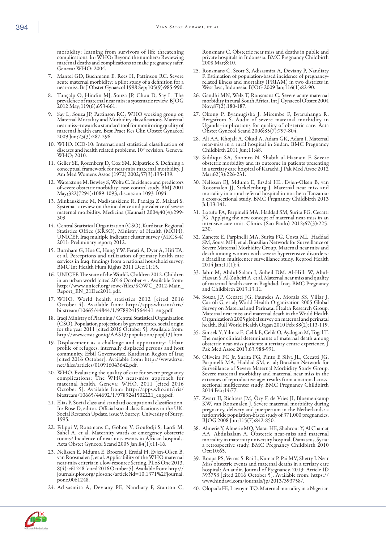morbidity: learning from survivors of life threatening<br>complications. In: WHO: Beyond the numbers: Reviewing maternal deaths and complications to make pregnancy safer. Geneva: WHO; 2004.

- 7. Mantel GD, Buchmann E, Rees H, Pattinson RC. Severe acute maternal morbidity: a pilot study of a definition for a near-miss. Br J Obstet Gynaecol 1998 Sep;105(9):985-990.
- 8. Tunçalp O, Hindin MJ, Souza JP, Chou D, Say L. The prevalence of maternal near miss: a systematic review. BJOG 2012 May;119(6):653-661.
- Say L, Souza JP, Pattinson RC; WHO working group on Maternal Mortality and Morbidity classifications. Maternal near miss–towards a standard tool for monitoring quality of maternal health care. Best Pract Res Clin Obstet Gynaecol 2009 Jun;23(3):287-296.
- 10. WHO. ICD-10: International statistical classification of diseases and health related problems. 10<sup>th</sup> revision. Geneva: WHO; 2010.
- 11. Geller SE, Rosenberg D, Cox SM, Kilpatrick S. Defining a conceptual framework for near-miss maternal morbidity. J Am Med Womens Assoc (1972) 2002;57(3):135-139.
- 12. Waterstone M, Bewley S, Wolfe C. Incidence and predictors of severe obstetric morbidity: case-control study. BMJ 2001 May;322(7294):1089-1093, discussion 1093-1094.
- 13. Minkauskiene M, Nadisauskiene R, Padaiga Z, Makari S. Systematic review on the incidence and prevalence of severe maternal morbidity. Medicina (Kaunas) 2004;40(4):299- 309.
- 14. Central Statistical Organization (CSO), Kurdistan Regional Statistics Office (KRSO), Ministry of Health (MOH), UNICEF. Iraq multiple indicator cluster survey (MICS-4) 2011: Preliminary report; 2012.
- 15. Burnham G, Hoe C, Hung YW, Ferati A, Dyer A, Hifi TA, et al. Perceptions and utilization of primary health care services in Iraq: findings from a national household survey. BMC Int Health Hum Rights 2011 Dec;11:15.
- 16. UNICEF. The state of the World's Children 2012. Children in an urban world [cited 2016 October 4]. Available from: http://www.unicef.org/sowc/files/SOWC\_2012-Main\_ Report\_EN\_21Dec2011.pdf.
- 17. WHO. World health statistics 2012 [cited 2016 October 4]. Available from: http://apps.who.int/iris/<br>bitstream/10665/44844/1/9789241564441\_eng.pdf.
- 18. Iraqi Ministry of Planning / Central Statistical Organization (CSO). Population projections by governorates, social origin for the year 2011 [cited 2016 October 5]. Available from: http://www.cosit.gov.iq/AAS13/population/pop(13).htm.
- 19. Displacement as a challenge and opportunity: Urban profile of refugees, internally displaced persons and host community. Erbil Governorate, Kurdistan Region of Iraq [cited 2016 October]. Available from: http://www.krso. net/files/articles/010916043642.pdf.
- 20. WHO. Evaluating the quality of care for severe pregnancy complications: The WHO near-miss approach for maternal health. Geneva: WHO. 2011 [cited 2016 October 5]. Available from: http://apps.who.int/iris/ bitstream/10665/44692/1/9789241502221\_eng.pdf.
- 21. Elias P. Social class and standard occupational classification. In: Rose D, editor. Official social classifications in the UK. Social Research Update, issue 9. Surrey: University of Surry; 1995.
- 22. Filippi V, Ronsmans C, Gohou V, Goufodji S, Lardi M, Sahel A, et al. Maternity wards or emergency obstetric rooms? Incidence of near-miss events in African hospitals. Acta Obstet Gynecol Scand 2005 Jan;84(1):11-16.
- 23. Nelissen E. Mduma E, Broerse J, Ersdal H, Evjen-Olsen B, van Roosmalen J, et al. Applicability of the WHO maternal near-miss criteria in a low-resource Setting. PLoS One 2013, 8(4): e61248 [cited 2016 October 5]. Avail journals.plos.org/plosone/article?id=10.1371%2Fjournal. pone.0061248.
- 24. Adisasmita A, Deviany PE, Nandiaty F, Stanton C,

Ronsmans C. Obstetric near miss and deaths in public and private hospitals in Indonesia. BMC Pregnancy Childbirth 2008 Mar;8:10.

- 25. Ronsmans C, Scott S, Adisasmita A, Deviany P, Nandiaty related illness and mortality (PRIAM) in two districts in West Java, Indonesia. BJOG 2009 Jan;116(1):82-90.
- 26. Gandhi MN, Welz T, Ronsmans C. Severe acute maternal morbidity in rural South Africa. Int J Gynaecol Obstet 2004 Nov;87(2):180-187.
- 27. Okong P, Byamugisha J, Mirembe F, Byaruhanga R, Bergstrom S. Audit of severe maternal morbidity in Uganda–implications for quality of obstetric care. Acta Obstet Gynecol Scand 2006;85(7):797-804.
- 28. Ali AA, Khojali A, Okud A, Adam GK, Adam I. Maternal near-miss in a rural hospital in Sudan. BMC Pregnancy Childbirth 2011 Jun;11:48.
- 29. Siddiqui SA, Soomro N, Shabih-ul-Hasnain F. Severe obstetric morbidity and its outcome in patients presenting in a tertiary care hospital of Karachi. J Pak Med Assoc 2012 Mar;62(3):226-231.
- 30. Nelissen EJ, Mduma E, Ersdal HL, Evjen-Olsen B, van Roosmalen JJ, Stekelenburg J. Maternal near miss and mortality in a rural referral hospital in northern Tanzania: a cross-sectional study. BMC Pregnancy Childbirth 2013 Jul;13:141.
- 31. Lotufo FA, Parpinelli MA, Haddad SM, Surita FG, Cecatti JG. Applying the new concept of maternal near-miss in an intensive care unit. Clinics (Sao Paulo) 2012;67(3):225- 230.
- 32. Zanette E, Parpinelli MA, Surita FG, Costa ML, Haddad SM, Sousa MH, et al. Brazilian Network for Surveillance of Severe Maternal Morbidity Group. Maternal near miss and death among women with severe hypertensive disorders: a Brazilian multicenter surveillance study. Reprod Health 2014 Jan;11(1):4.
- 33. Jabir M, Abdul-Salam I, Suheil DM. Al-Hilli W, Abulof maternal health care in Baghdad, Iraq. BMC Pregnancy and Childbirth 2013;13:11.
- 34. Souza JP, Cecatti JG, Faundes A, Morais SS, Villar J, Carroli G, et al; World Health Organization 2005 Global Survey on Maternal and Perinatal Health Research Group. Maternal near miss and maternal death in the World Health Organization's 2005 global survey on maternal and perinatal health. Bull World Health Organ 2010 Feb;88(2):113-119.
- 35. Simsek Y, Yilmaz E, Celik E, Celik O, Aydogan M, Togal T. The major clinical determinants of maternal death among obstetric near-miss patients: a tertiary centre experience. J Pak Med Assoc 2013;63:988-991.
- 36. Oliveira FC Jr, Surita FG, Pinto E Silva JL, Cecatti JG, Parpinelli MA, Haddad SM, et al; Brazilian Network for Surveillance of Severe Maternal Morbidity Study Group. Severe maternal morbidity and maternal near miss in the extremes of reproductive age: results from a national crosssectional multicenter study. BMC Pregnancy Childbirth 2014 Feb;14:77.
- 37. Zwart JJ, Richters JM, Öry F, de Vries JI, Bloemenkamp pregnancy, delivery and puerperium in the Netherlands: a nationwide population-based study of 371,000 pregnancies. BJOG 2008 Jun;115(7):842-850.
- 38. Almerie Y, Almerie MQ, Matar HE, Shahrour Y, Al Chamat AA, Abdulsalam A. Obstetric near-miss and maternal mortality in maternity university hospital, Damascus, Syria: a retrospective study. BMC Pregnancy Childbirth 2010 Oct;10:65.
- 39. Roopa PS, Verma S. Rai L, Kumar P, Pai MV, Shetty J. Near Miss obstetric events and maternal deaths in a tertiary care hospital: An audit. Journal of Pregnancy. 2013; Article ID 393758 [cited 2016 October 5]. Available from: https:// www.hindawi.com/journals/jp/2013/393758/.
- 40. Olopada FE, Lawoyin TO. Maternal mortality in a Nigerian